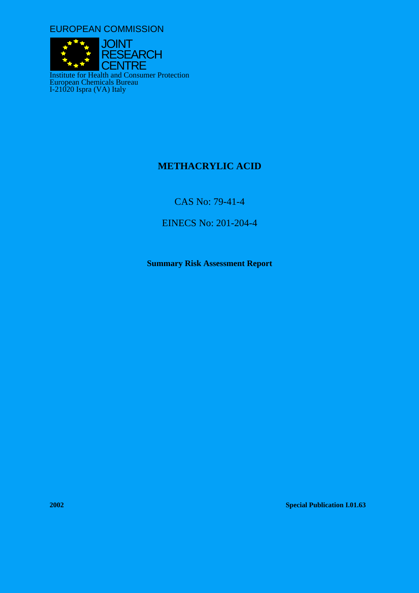EUROPEAN COMMISSION



# **METHACRYLIC ACID**

CAS No: 79-41-4

EINECS No: 201-204-4

**Summary Risk Assessment Report** 

**2002 Special Publication I.01.63**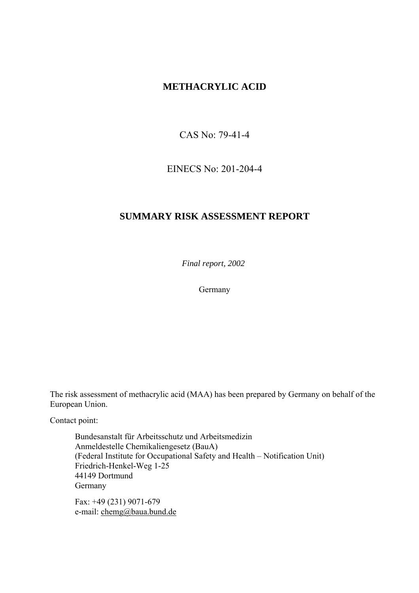# **METHACRYLIC ACID**

CAS No: 79-41-4

EINECS No: 201-204-4

# **SUMMARY RISK ASSESSMENT REPORT**

*Final report, 2002* 

Germany

The risk assessment of methacrylic acid (MAA) has been prepared by Germany on behalf of the European Union.

Contact point:

Bundesanstalt für Arbeitsschutz und Arbeitsmedizin Anmeldestelle Chemikaliengesetz (BauA) (Federal Institute for Occupational Safety and Health – Notification Unit) Friedrich-Henkel-Weg 1-25 44149 Dortmund Germany

Fax: +49 (231) 9071-679 e-mail: chemg@baua.bund.de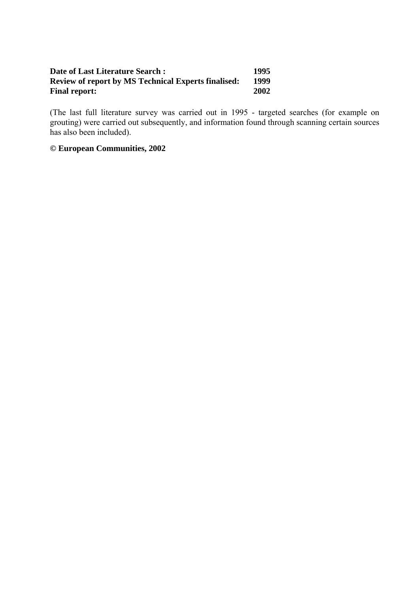#### **Date of Last Literature Search : 1995<br>Review of report by MS Technical Experts finalised: 1999 Review of report by MS Technical Experts finalised:** 1999<br>Final report: 2002 **Final report:**

(The last full literature survey was carried out in 1995 - targeted searches (for example on grouting) were carried out subsequently, and information found through scanning certain sources has also been included).

## **© European Communities, 2002**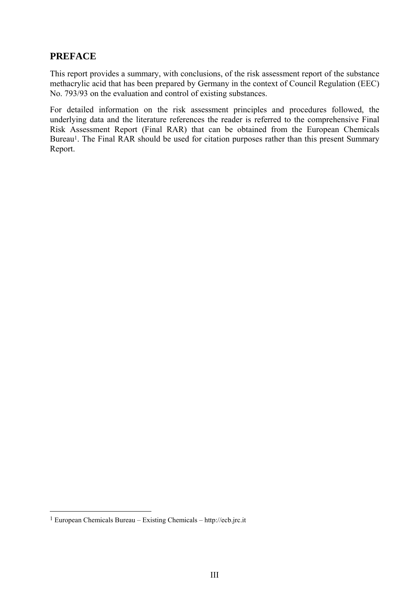# **PREFACE**

This report provides a summary, with conclusions, of the risk assessment report of the substance methacrylic acid that has been prepared by Germany in the context of Council Regulation (EEC) No. 793/93 on the evaluation and control of existing substances.

For detailed information on the risk assessment principles and procedures followed, the underlying data and the literature references the reader is referred to the comprehensive Final Risk Assessment Report (Final RAR) that can be obtained from the European Chemicals Bureau<sup>1</sup>. The Final RAR should be used for citation purposes rather than this present Summary Report.

 $\overline{a}$ 

<span id="page-4-0"></span><sup>1</sup> European Chemicals Bureau – Existing Chemicals – http://ecb.jrc.it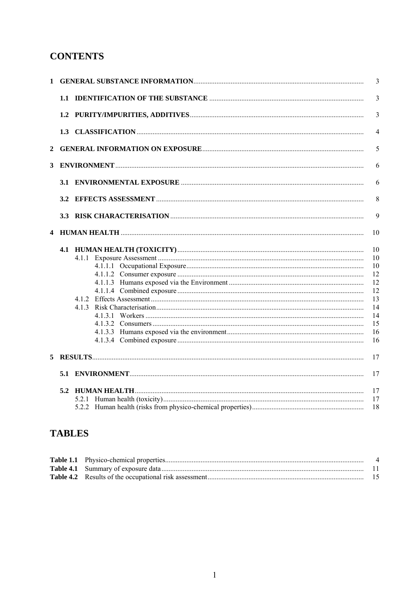# **CONTENTS**

|   |  |  | $\overline{3}$                                                       |
|---|--|--|----------------------------------------------------------------------|
|   |  |  | $\overline{3}$                                                       |
|   |  |  | $\overline{4}$                                                       |
| 2 |  |  | 5                                                                    |
| 3 |  |  |                                                                      |
|   |  |  | 6                                                                    |
|   |  |  | 8                                                                    |
|   |  |  | 9                                                                    |
|   |  |  |                                                                      |
|   |  |  | 10<br>10<br>10<br>12<br>12<br>12<br>13<br>14<br>14<br>15<br>16<br>16 |
| 5 |  |  | 17                                                                   |
|   |  |  | 17                                                                   |
|   |  |  | 17<br>17<br>18                                                       |

# **TABLES**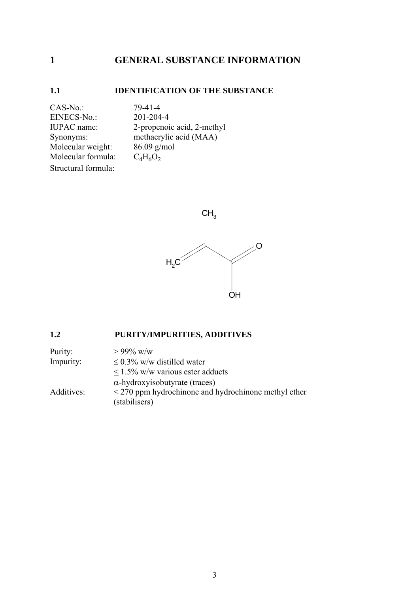# <span id="page-8-0"></span>**1 GENERAL SUBSTANCE INFORMATION**

# **1.1 IDENTIFICATION OF THE SUBSTANCE**

CAS-No.: 79-41-4 EINECS-No.: 201-204-4 Molecular weight: 86.09 g/mol Molecular formula:  $C_4H_6O_2$ Structural formula:

IUPAC name: 2-propenoic acid, 2-methyl Synonyms: methacrylic acid (MAA)<br>Molecular weight: 86.09 g/mol



### **1.2 PURITY/IMPURITIES, ADDITIVES**

| Purity:    | $> 99\%$ w/w                                              |
|------------|-----------------------------------------------------------|
| Impurity:  | $\leq$ 0.3% w/w distilled water                           |
|            | $\leq$ 1.5% w/w various ester adducts                     |
|            | $\alpha$ -hydroxyisobutyrate (traces)                     |
| Additives: | $\leq$ 270 ppm hydrochinone and hydrochinone methyl ether |
|            | (stabilisers)                                             |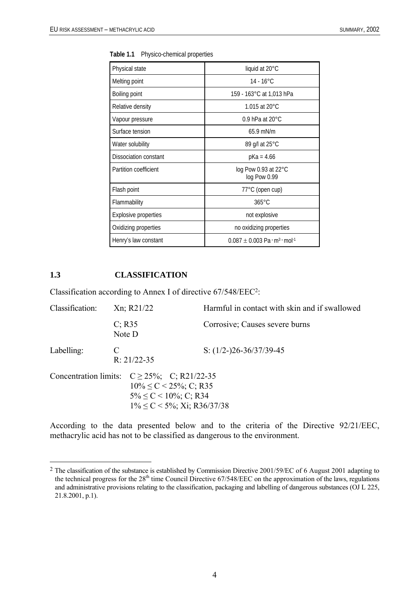| Physical state              | liquid at 20°C                                                        |  |
|-----------------------------|-----------------------------------------------------------------------|--|
|                             |                                                                       |  |
| Melting point               | $14 - 16^{\circ}$ C                                                   |  |
| Boiling point               | 159 - 163°C at 1,013 hPa                                              |  |
| Relative density            | 1.015 at 20 $^{\circ}$ C                                              |  |
| Vapour pressure             | 0.9 hPa at $20^{\circ}$ C                                             |  |
| Surface tension             | $65.9$ mN/m                                                           |  |
| Water solubility            | 89 g/l at 25 °C                                                       |  |
| Dissociation constant       | pKa = 4.66                                                            |  |
| Partition coefficient       | log Pow 0.93 at 22°C<br>log Pow 0.99                                  |  |
| Flash point                 | 77°C (open cup)                                                       |  |
| Flammability                | $365^{\circ}$ C                                                       |  |
| <b>Explosive properties</b> | not explosive                                                         |  |
| Oxidizing properties        | no oxidizing properties                                               |  |
| Henry's law constant        | $0.087 \pm 0.003$ Pa $\cdot$ m <sup>3</sup> $\cdot$ mol <sup>-1</sup> |  |

<span id="page-9-0"></span>**Table 1.1** Physico-chemical properties

#### **1.3 CLASSIFICATION**

 $\overline{a}$ 

Classification according to Annex I of directive 67/548/EE[C2:](#page-9-1)

| Classification: | Xn; R21/22                                                                                                                                                | Harmful in contact with skin and if swallowed |  |  |
|-----------------|-----------------------------------------------------------------------------------------------------------------------------------------------------------|-----------------------------------------------|--|--|
|                 | $C$ ; R35<br>Note D                                                                                                                                       | Corrosive; Causes severe burns                |  |  |
| Labelling:      | C<br>$R: 21/22-35$                                                                                                                                        | S: $(1/2-)26-36/37/39-45$                     |  |  |
|                 | Concentration limits: $C \ge 25\%$ ; C; R21/22-35<br>$10\% \le C < 25\%$ ; C; R35<br>$5\% \leq C \leq 10\%$ ; C; R34<br>$1\% \le C < 5\%$ ; Xi; R36/37/38 |                                               |  |  |

According to the data presented below and to the criteria of the Directive 92/21/EEC, methacrylic acid has not to be classified as dangerous to the environment.

<span id="page-9-1"></span><sup>&</sup>lt;sup>2</sup> The classification of the substance is established by Commission Directive 2001/59/EC of 6 August 2001 adapting to the technical progress for the 28<sup>th</sup> time Council Directive 67/548/EEC on the approximation of the laws, regulations and administrative provisions relating to the classification, packaging and labelling of dangerous substances (OJ L 225, 21.8.2001, p.1).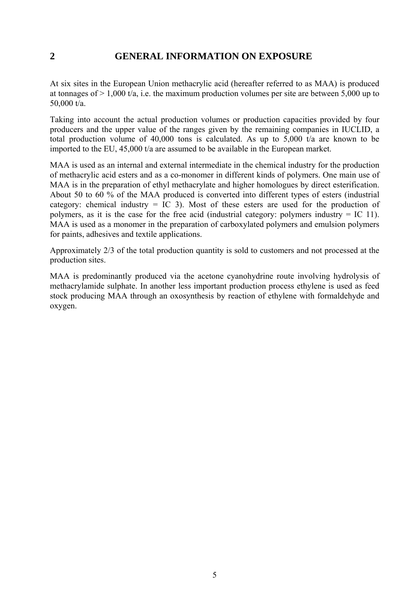# <span id="page-10-0"></span>**2 GENERAL INFORMATION ON EXPOSURE**

At six sites in the European Union methacrylic acid (hereafter referred to as MAA) is produced at tonnages of  $> 1,000$  t/a, i.e. the maximum production volumes per site are between 5,000 up to 50,000 t/a.

Taking into account the actual production volumes or production capacities provided by four producers and the upper value of the ranges given by the remaining companies in IUCLID, a total production volume of 40,000 tons is calculated. As up to 5,000 t/a are known to be imported to the EU, 45,000 t/a are assumed to be available in the European market.

MAA is used as an internal and external intermediate in the chemical industry for the production of methacrylic acid esters and as a co-monomer in different kinds of polymers. One main use of MAA is in the preparation of ethyl methacrylate and higher homologues by direct esterification. About 50 to 60 % of the MAA produced is converted into different types of esters (industrial category: chemical industry  $=$  IC 3). Most of these esters are used for the production of polymers, as it is the case for the free acid (industrial category: polymers industry = IC 11). MAA is used as a monomer in the preparation of carboxylated polymers and emulsion polymers for paints, adhesives and textile applications.

Approximately 2/3 of the total production quantity is sold to customers and not processed at the production sites.

MAA is predominantly produced via the acetone cyanohydrine route involving hydrolysis of methacrylamide sulphate. In another less important production process ethylene is used as feed stock producing MAA through an oxosynthesis by reaction of ethylene with formaldehyde and oxygen.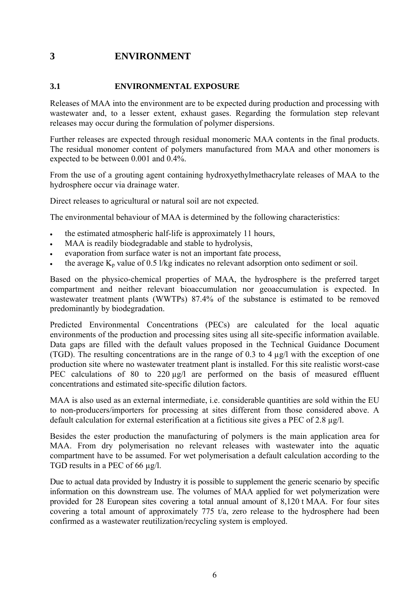# <span id="page-11-0"></span>**3 ENVIRONMENT**

### **3.1 ENVIRONMENTAL EXPOSURE**

Releases of MAA into the environment are to be expected during production and processing with wastewater and, to a lesser extent, exhaust gases. Regarding the formulation step relevant releases may occur during the formulation of polymer dispersions.

Further releases are expected through residual monomeric MAA contents in the final products. The residual monomer content of polymers manufactured from MAA and other monomers is expected to be between 0.001 and 0.4%.

From the use of a grouting agent containing hydroxyethylmethacrylate releases of MAA to the hydrosphere occur via drainage water.

Direct releases to agricultural or natural soil are not expected.

The environmental behaviour of MAA is determined by the following characteristics:

- the estimated atmospheric half-life is approximately 11 hours,
- MAA is readily biodegradable and stable to hydrolysis,
- evaporation from surface water is not an important fate process.
- the average  $K_p$  value of 0.5 l/kg indicates no relevant adsorption onto sediment or soil.

Based on the physico-chemical properties of MAA, the hydrosphere is the preferred target compartment and neither relevant bioaccumulation nor geoaccumulation is expected. In wastewater treatment plants (WWTPs) 87.4% of the substance is estimated to be removed predominantly by biodegradation.

Predicted Environmental Concentrations (PECs) are calculated for the local aquatic environments of the production and processing sites using all site-specific information available. Data gaps are filled with the default values proposed in the Technical Guidance Document (TGD). The resulting concentrations are in the range of 0.3 to 4 µg/l with the exception of one production site where no wastewater treatment plant is installed. For this site realistic worst-case PEC calculations of 80 to 220 ug/l are performed on the basis of measured effluent concentrations and estimated site-specific dilution factors.

MAA is also used as an external intermediate, i.e. considerable quantities are sold within the EU to non-producers/importers for processing at sites different from those considered above. A default calculation for external esterification at a fictitious site gives a PEC of 2.8 µg/l.

Besides the ester production the manufacturing of polymers is the main application area for MAA. From dry polymerisation no relevant releases with wastewater into the aquatic compartment have to be assumed. For wet polymerisation a default calculation according to the TGD results in a PEC of 66  $\mu$ g/l.

Due to actual data provided by Industry it is possible to supplement the generic scenario by specific information on this downstream use. The volumes of MAA applied for wet polymerization were provided for 28 European sites covering a total annual amount of 8,120 t MAA. For four sites covering a total amount of approximately 775 t/a, zero release to the hydrosphere had been confirmed as a wastewater reutilization/recycling system is employed.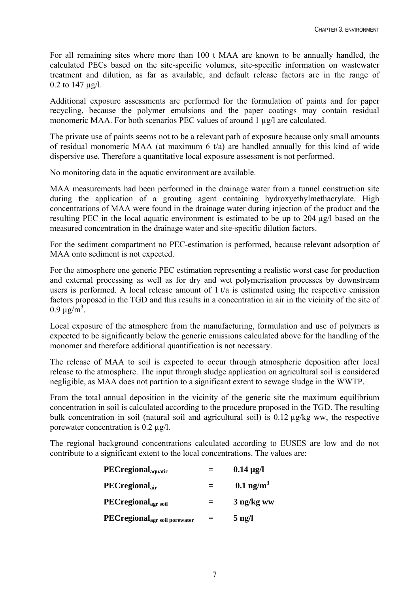For all remaining sites where more than 100 t MAA are known to be annually handled, the calculated PECs based on the site-specific volumes, site-specific information on wastewater treatment and dilution, as far as available, and default release factors are in the range of 0.2 to 147 µg/l.

Additional exposure assessments are performed for the formulation of paints and for paper recycling, because the polymer emulsions and the paper coatings may contain residual monomeric MAA. For both scenarios PEC values of around 1  $\mu$ g/l are calculated.

The private use of paints seems not to be a relevant path of exposure because only small amounts of residual monomeric MAA (at maximum 6 t/a) are handled annually for this kind of wide dispersive use. Therefore a quantitative local exposure assessment is not performed.

No monitoring data in the aquatic environment are available.

MAA measurements had been performed in the drainage water from a tunnel construction site during the application of a grouting agent containing hydroxyethylmethacrylate. High concentrations of MAA were found in the drainage water during injection of the product and the resulting PEC in the local aquatic environment is estimated to be up to 204 µg/l based on the measured concentration in the drainage water and site-specific dilution factors.

For the sediment compartment no PEC-estimation is performed, because relevant adsorption of MAA onto sediment is not expected.

For the atmosphere one generic PEC estimation representing a realistic worst case for production and external processing as well as for dry and wet polymerisation processes by downstream users is performed. A local release amount of 1 t/a is estimated using the respective emission factors proposed in the TGD and this results in a concentration in air in the vicinity of the site of  $0.9 \,\mu g/m^3$ .

Local exposure of the atmosphere from the manufacturing, formulation and use of polymers is expected to be significantly below the generic emissions calculated above for the handling of the monomer and therefore additional quantification is not necessary.

The release of MAA to soil is expected to occur through atmospheric deposition after local release to the atmosphere. The input through sludge application on agricultural soil is considered negligible, as MAA does not partition to a significant extent to sewage sludge in the WWTP.

From the total annual deposition in the vicinity of the generic site the maximum equilibrium concentration in soil is calculated according to the procedure proposed in the TGD. The resulting bulk concentration in soil (natural soil and agricultural soil) is 0.12 µg/kg ww, the respective porewater concentration is 0.2 µg/l.

The regional background concentrations calculated according to EUSES are low and do not contribute to a significant extent to the local concentrations. The values are:

| <b>PECregional</b> <sub>aquatic</sub>            |     | $0.14 \,\mu g/l$        |
|--------------------------------------------------|-----|-------------------------|
| $\rm PEC$ regional <sub>air</sub>                |     | $0.1$ ng/m <sup>3</sup> |
| <b>PECregional</b> <sub>agr soil</sub>           | $=$ | 3 ng/kg ww              |
| <b>PECregional</b> <sub>agr soil porewater</sub> | =   | $5$ ng/l                |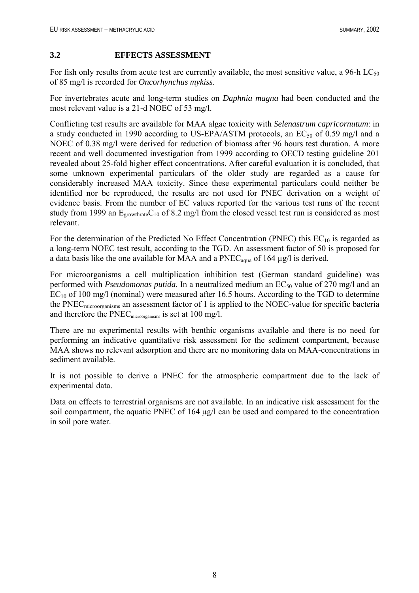#### <span id="page-13-0"></span>**3.2 EFFECTS ASSESSMENT**

For fish only results from acute test are currently available, the most sensitive value, a 96-h  $LC_{50}$ of 85 mg/l is recorded for *Oncorhynchus mykiss*.

For invertebrates acute and long-term studies on *Daphnia magna* had been conducted and the most relevant value is a 21-d NOEC of 53 mg/l.

Conflicting test results are available for MAA algae toxicity with *Selenastrum capricornutum*: in a study conducted in 1990 according to US-EPA/ASTM protocols, an  $EC_{50}$  of 0.59 mg/l and a NOEC of 0.38 mg/l were derived for reduction of biomass after 96 hours test duration. A more recent and well documented investigation from 1999 according to OECD testing guideline 201 revealed about 25-fold higher effect concentrations. After careful evaluation it is concluded, that some unknown experimental particulars of the older study are regarded as a cause for considerably increased MAA toxicity. Since these experimental particulars could neither be identified nor be reproduced, the results are not used for PNEC derivation on a weight of evidence basis. From the number of EC values reported for the various test runs of the recent study from 1999 an  $E_{growthrate}C_{10}$  of 8.2 mg/l from the closed vessel test run is considered as most relevant.

For the determination of the Predicted No Effect Concentration (PNEC) this  $EC_{10}$  is regarded as a long-term NOEC test result, according to the TGD. An assessment factor of 50 is proposed for a data basis like the one available for MAA and a  $PNEC_{aquad}$  of 164  $\mu$ g/l is derived.

For microorganisms a cell multiplication inhibition test (German standard guideline) was performed with *Pseudomonas putida*. In a neutralized medium an EC<sub>50</sub> value of 270 mg/l and an  $EC_{10}$  of 100 mg/l (nominal) were measured after 16.5 hours. According to the TGD to determine the PNECmicroorganisms an assessment factor of 1 is applied to the NOEC-value for specific bacteria and therefore the PNECmicroorganisms is set at 100 mg/l.

There are no experimental results with benthic organisms available and there is no need for performing an indicative quantitative risk assessment for the sediment compartment, because MAA shows no relevant adsorption and there are no monitoring data on MAA-concentrations in sediment available.

It is not possible to derive a PNEC for the atmospheric compartment due to the lack of experimental data.

Data on effects to terrestrial organisms are not available. In an indicative risk assessment for the soil compartment, the aquatic PNEC of 164 µg/l can be used and compared to the concentration in soil pore water.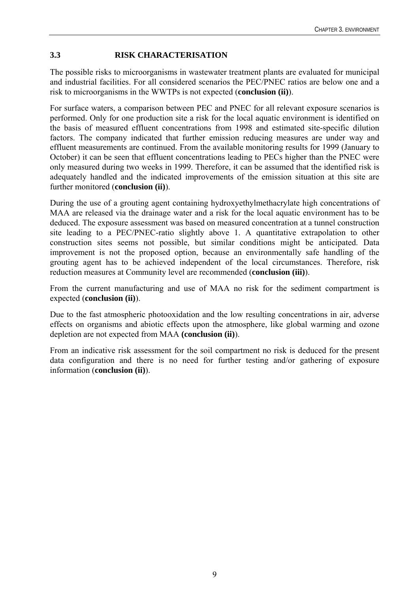### <span id="page-14-0"></span>**3.3 RISK CHARACTERISATION**

The possible risks to microorganisms in wastewater treatment plants are evaluated for municipal and industrial facilities. For all considered scenarios the PEC/PNEC ratios are below one and a risk to microorganisms in the WWTPs is not expected (**conclusion (ii)**).

For surface waters, a comparison between PEC and PNEC for all relevant exposure scenarios is performed. Only for one production site a risk for the local aquatic environment is identified on the basis of measured effluent concentrations from 1998 and estimated site-specific dilution factors. The company indicated that further emission reducing measures are under way and effluent measurements are continued. From the available monitoring results for 1999 (January to October) it can be seen that effluent concentrations leading to PECs higher than the PNEC were only measured during two weeks in 1999. Therefore, it can be assumed that the identified risk is adequately handled and the indicated improvements of the emission situation at this site are further monitored (**conclusion (ii)**).

During the use of a grouting agent containing hydroxyethylmethacrylate high concentrations of MAA are released via the drainage water and a risk for the local aquatic environment has to be deduced. The exposure assessment was based on measured concentration at a tunnel construction site leading to a PEC/PNEC-ratio slightly above 1. A quantitative extrapolation to other construction sites seems not possible, but similar conditions might be anticipated. Data improvement is not the proposed option, because an environmentally safe handling of the grouting agent has to be achieved independent of the local circumstances. Therefore, risk reduction measures at Community level are recommended (**conclusion (iii)**).

From the current manufacturing and use of MAA no risk for the sediment compartment is expected (**conclusion (ii)**).

Due to the fast atmospheric photooxidation and the low resulting concentrations in air, adverse effects on organisms and abiotic effects upon the atmosphere, like global warming and ozone depletion are not expected from MAA **(conclusion (ii)**).

From an indicative risk assessment for the soil compartment no risk is deduced for the present data configuration and there is no need for further testing and/or gathering of exposure information (**conclusion (ii)**).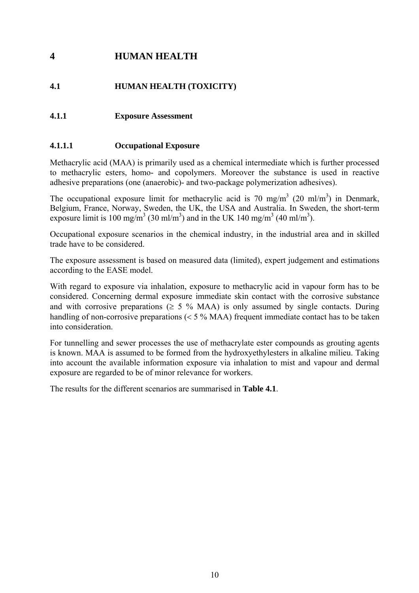# <span id="page-15-0"></span>**4 HUMAN HEALTH**

# **4.1 HUMAN HEALTH (TOXICITY)**

## **4.1.1 Exposure Assessment**

#### **4.1.1.1 Occupational Exposure**

Methacrylic acid (MAA) is primarily used as a chemical intermediate which is further processed to methacrylic esters, homo- and copolymers. Moreover the substance is used in reactive adhesive preparations (one (anaerobic)- and two-package polymerization adhesives).

The occupational exposure limit for methacrylic acid is 70 mg/m<sup>3</sup> (20 ml/m<sup>3</sup>) in Denmark, Belgium, France, Norway, Sweden, the UK, the USA and Australia. In Sweden, the short-term exposure limit is 100 mg/m<sup>3</sup> (30 ml/m<sup>3</sup>) and in the UK 140 mg/m<sup>3</sup> (40 ml/m<sup>3</sup>).

Occupational exposure scenarios in the chemical industry, in the industrial area and in skilled trade have to be considered.

The exposure assessment is based on measured data (limited), expert judgement and estimations according to the EASE model.

With regard to exposure via inhalation, exposure to methacrylic acid in vapour form has to be considered. Concerning dermal exposure immediate skin contact with the corrosive substance and with corrosive preparations ( $\geq$  5 % MAA) is only assumed by single contacts. During handling of non-corrosive preparations (< 5 % MAA) frequent immediate contact has to be taken into consideration.

For tunnelling and sewer processes the use of methacrylate ester compounds as grouting agents is known. MAA is assumed to be formed from the hydroxyethylesters in alkaline milieu. Taking into account the available information exposure via inhalation to mist and vapour and dermal exposure are regarded to be of minor relevance for workers.

The results for the different scenarios are summarised in **Table 4.1**.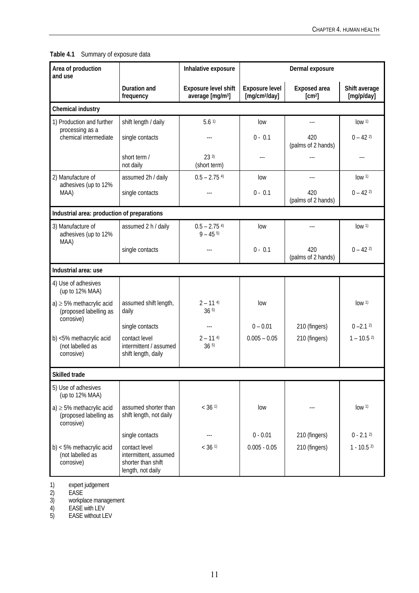| Area of production<br>and use                                          |                                                                                   | Inhalative exposure                                         |                                             | Dermal exposure                    |                             |
|------------------------------------------------------------------------|-----------------------------------------------------------------------------------|-------------------------------------------------------------|---------------------------------------------|------------------------------------|-----------------------------|
|                                                                        | Duration and<br>frequency                                                         | <b>Exposure level shift</b><br>average [mg/m <sup>3</sup> ] | Exposure level<br>[mg/cm <sup>2</sup> /day] | Exposed area<br>[cm <sup>2</sup> ] | Shift average<br>[mg/p/day] |
| Chemical industry                                                      |                                                                                   |                                                             |                                             |                                    |                             |
| 1) Production and further                                              | shift length / daily                                                              | 5.61                                                        | low                                         |                                    | low <sup>1</sup>            |
| processing as a<br>chemical intermediate                               | single contacts                                                                   | ---                                                         | $0 - 0.1$                                   | 420<br>(palms of 2 hands)          | $0 - 42$ <sup>2)</sup>      |
|                                                                        | short term /<br>not daily                                                         | 233<br>(short term)                                         | ---                                         | $ -$                               | ---                         |
| 2) Manufacture of<br>adhesives (up to 12%                              | assumed 2h / daily                                                                | $0.5 - 2.754$                                               | low                                         | ---                                | low <sup>1</sup>            |
| MAA)                                                                   | single contacts                                                                   | $\overline{\phantom{a}}$                                    | $0 - 0.1$                                   | 420<br>(palms of 2 hands)          | $0 - 42$ <sup>2)</sup>      |
| Industrial area: production of preparations                            |                                                                                   |                                                             |                                             |                                    |                             |
| 3) Manufacture of<br>adhesives (up to 12%<br>MAA)                      | assumed 2 h / daily                                                               | $0.5 - 2.75$ <sup>4)</sup><br>$9 - 455$                     | low                                         |                                    | low <sup>1</sup>            |
|                                                                        | single contacts                                                                   |                                                             | $0 - 0.1$                                   | 420<br>(palms of 2 hands)          | $0 - 42$ <sup>2)</sup>      |
| Industrial area: use                                                   |                                                                                   |                                                             |                                             |                                    |                             |
| 4) Use of adhesives<br>(up to 12% MAA)                                 |                                                                                   |                                                             |                                             |                                    |                             |
| $a) \geq 5\%$ methacrylic acid<br>(proposed labelling as<br>corrosive) | assumed shift length,<br>daily                                                    | $2 - 114$<br>365                                            | low                                         |                                    | low <sup>1</sup>            |
|                                                                        | single contacts                                                                   |                                                             | $0 - 0.01$                                  | 210 (fingers)                      | $0 - 2.1$ <sup>2)</sup>     |
| b) <5% methacrylic acid<br>(not labelled as<br>corrosive)              | contact level<br>intermittent / assumed<br>shift length, daily                    | $2 - 114$<br>365                                            | $0.005 - 0.05$                              | 210 (fingers)                      | $1 - 10.5^{2}$              |
| <b>Skilled trade</b>                                                   |                                                                                   |                                                             |                                             |                                    |                             |
| 5) Use of adhesives<br>(up to 12% MAA)                                 |                                                                                   |                                                             |                                             |                                    |                             |
| $a) \geq 5\%$ methacrylic acid<br>(proposed labelling as<br>corrosive) | assumed shorter than<br>shift length, not daily                                   | $< 36$ <sup>1)</sup>                                        | low                                         |                                    | low <sup>1</sup>            |
|                                                                        | single contacts                                                                   |                                                             | $0 - 0.01$                                  | 210 (fingers)                      | $0 - 2.12$                  |
| $b$ ) < 5% methacrylic acid<br>(not labelled as<br>corrosive)          | contact level<br>intermittent, assumed<br>shorter than shift<br>length, not daily | $< 36$ <sup>1)</sup>                                        | $0.005 - 0.05$                              | 210 (fingers)                      | $1 - 10.52$                 |

### <span id="page-16-0"></span>**Table 4.1** Summary of exposure data

1) expert judgement

2) EASE

3) workplace management

4) EASE with LEV

5) EASE without LEV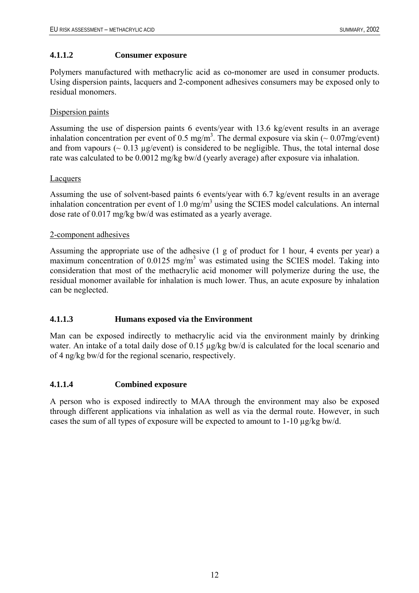#### <span id="page-17-0"></span>**4.1.1.2 Consumer exposure**

Polymers manufactured with methacrylic acid as co-monomer are used in consumer products. Using dispersion paints, lacquers and 2-component adhesives consumers may be exposed only to residual monomers.

#### Dispersion paints

Assuming the use of dispersion paints 6 events/year with 13.6 kg/event results in an average inhalation concentration per event of 0.5 mg/m<sup>3</sup>. The dermal exposure via skin ( $\sim 0.07$ mg/event) and from vapours ( $\sim 0.13$  µg/event) is considered to be negligible. Thus, the total internal dose rate was calculated to be 0.0012 mg/kg bw/d (yearly average) after exposure via inhalation.

#### Lacquers

Assuming the use of solvent-based paints 6 events/year with 6.7 kg/event results in an average inhalation concentration per event of  $1.0 \text{ mg/m}^3$  using the SCIES model calculations. An internal dose rate of 0.017 mg/kg bw/d was estimated as a yearly average.

#### 2-component adhesives

Assuming the appropriate use of the adhesive (1 g of product for 1 hour, 4 events per year) a maximum concentration of  $0.0125$  mg/m<sup>3</sup> was estimated using the SCIES model. Taking into consideration that most of the methacrylic acid monomer will polymerize during the use, the residual monomer available for inhalation is much lower. Thus, an acute exposure by inhalation can be neglected.

#### **4.1.1.3 Humans exposed via the Environment**

Man can be exposed indirectly to methacrylic acid via the environment mainly by drinking water. An intake of a total daily dose of 0.15 µg/kg bw/d is calculated for the local scenario and of 4 ng/kg bw/d for the regional scenario, respectively.

#### **4.1.1.4 Combined exposure**

A person who is exposed indirectly to MAA through the environment may also be exposed through different applications via inhalation as well as via the dermal route. However, in such cases the sum of all types of exposure will be expected to amount to 1-10 µg/kg bw/d.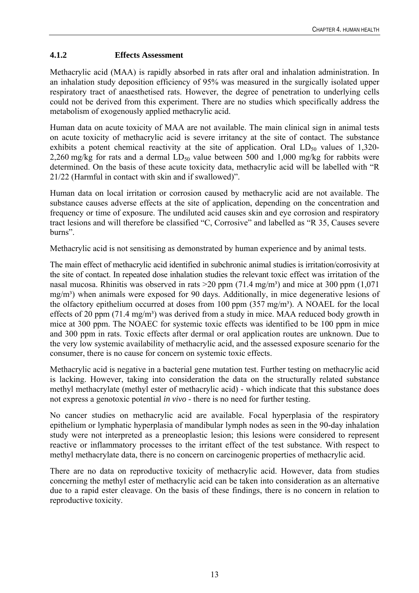#### <span id="page-18-0"></span>**4.1.2 Effects Assessment**

Methacrylic acid (MAA) is rapidly absorbed in rats after oral and inhalation administration. In an inhalation study deposition efficiency of 95% was measured in the surgically isolated upper respiratory tract of anaesthetised rats. However, the degree of penetration to underlying cells could not be derived from this experiment. There are no studies which specifically address the metabolism of exogenously applied methacrylic acid.

Human data on acute toxicity of MAA are not available. The main clinical sign in animal tests on acute toxicity of methacrylic acid is severe irritancy at the site of contact. The substance exhibits a potent chemical reactivity at the site of application. Oral  $LD_{50}$  values of 1,320-2,260 mg/kg for rats and a dermal  $LD_{50}$  value between 500 and 1,000 mg/kg for rabbits were determined. On the basis of these acute toxicity data, methacrylic acid will be labelled with "R 21/22 (Harmful in contact with skin and if swallowed)".

Human data on local irritation or corrosion caused by methacrylic acid are not available. The substance causes adverse effects at the site of application, depending on the concentration and frequency or time of exposure. The undiluted acid causes skin and eye corrosion and respiratory tract lesions and will therefore be classified "C, Corrosive" and labelled as "R 35, Causes severe burns".

Methacrylic acid is not sensitising as demonstrated by human experience and by animal tests.

The main effect of methacrylic acid identified in subchronic animal studies is irritation/corrosivity at the site of contact. In repeated dose inhalation studies the relevant toxic effect was irritation of the nasal mucosa. Rhinitis was observed in rats  $>$ 20 ppm (71.4 mg/m<sup>3</sup>) and mice at 300 ppm (1,071) mg/m³) when animals were exposed for 90 days. Additionally, in mice degenerative lesions of the olfactory epithelium occurred at doses from 100 ppm  $(357 \text{ mg/m}^3)$ . A NOAEL for the local effects of 20 ppm  $(71.4 \text{ mg/m}^3)$  was derived from a study in mice. MAA reduced body growth in mice at 300 ppm. The NOAEC for systemic toxic effects was identified to be 100 ppm in mice and 300 ppm in rats. Toxic effects after dermal or oral application routes are unknown. Due to the very low systemic availability of methacrylic acid, and the assessed exposure scenario for the consumer, there is no cause for concern on systemic toxic effects.

Methacrylic acid is negative in a bacterial gene mutation test. Further testing on methacrylic acid is lacking. However, taking into consideration the data on the structurally related substance methyl methacrylate (methyl ester of methacrylic acid) - which indicate that this substance does not express a genotoxic potential *in vivo* - there is no need for further testing.

No cancer studies on methacrylic acid are available. Focal hyperplasia of the respiratory epithelium or lymphatic hyperplasia of mandibular lymph nodes as seen in the 90-day inhalation study were not interpreted as a preneoplastic lesion; this lesions were considered to represent reactive or inflammatory processes to the irritant effect of the test substance. With respect to methyl methacrylate data, there is no concern on carcinogenic properties of methacrylic acid.

There are no data on reproductive toxicity of methacrylic acid. However, data from studies concerning the methyl ester of methacrylic acid can be taken into consideration as an alternative due to a rapid ester cleavage. On the basis of these findings, there is no concern in relation to reproductive toxicity.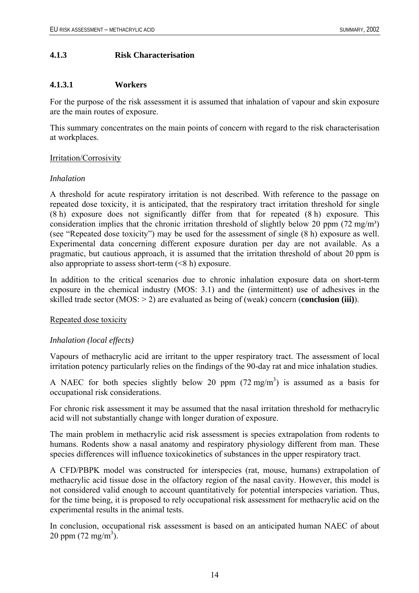#### <span id="page-19-0"></span>**4.1.3 Risk Characterisation**

#### **4.1.3.1 Workers**

For the purpose of the risk assessment it is assumed that inhalation of vapour and skin exposure are the main routes of exposure.

This summary concentrates on the main points of concern with regard to the risk characterisation at workplaces.

#### Irritation/Corrosivity

#### *Inhalation*

A threshold for acute respiratory irritation is not described. With reference to the passage on repeated dose toxicity, it is anticipated, that the respiratory tract irritation threshold for single (8 h) exposure does not significantly differ from that for repeated (8 h) exposure. This consideration implies that the chronic irritation threshold of slightly below 20 ppm  $(72 \text{ mg/m}^3)$ (see "Repeated dose toxicity") may be used for the assessment of single (8 h) exposure as well. Experimental data concerning different exposure duration per day are not available. As a pragmatic, but cautious approach, it is assumed that the irritation threshold of about 20 ppm is also appropriate to assess short-term  $(\leq 8 \text{ h})$  exposure.

In addition to the critical scenarios due to chronic inhalation exposure data on short-term exposure in the chemical industry (MOS: 3.1) and the (intermittent) use of adhesives in the skilled trade sector (MOS: > 2) are evaluated as being of (weak) concern (**conclusion (iii)**).

#### Repeated dose toxicity

#### *Inhalation (local effects)*

Vapours of methacrylic acid are irritant to the upper respiratory tract. The assessment of local irritation potency particularly relies on the findings of the 90-day rat and mice inhalation studies.

A NAEC for both species slightly below 20 ppm  $(72 \text{ mg/m}^3)$  is assumed as a basis for occupational risk considerations.

For chronic risk assessment it may be assumed that the nasal irritation threshold for methacrylic acid will not substantially change with longer duration of exposure.

The main problem in methacrylic acid risk assessment is species extrapolation from rodents to humans. Rodents show a nasal anatomy and respiratory physiology different from man. These species differences will influence toxicokinetics of substances in the upper respiratory tract.

A CFD/PBPK model was constructed for interspecies (rat, mouse, humans) extrapolation of methacrylic acid tissue dose in the olfactory region of the nasal cavity. However, this model is not considered valid enough to account quantitatively for potential interspecies variation. Thus, for the time being, it is proposed to rely occupational risk assessment for methacrylic acid on the experimental results in the animal tests.

In conclusion, occupational risk assessment is based on an anticipated human NAEC of about 20 ppm  $(72 \text{ mg/m}^3)$ .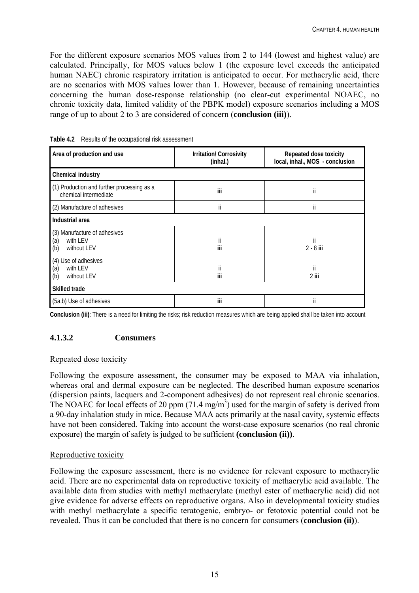<span id="page-20-0"></span>For the different exposure scenarios MOS values from 2 to 144 (lowest and highest value) are calculated. Principally, for MOS values below 1 (the exposure level exceeds the anticipated human NAEC) chronic respiratory irritation is anticipated to occur. For methacrylic acid, there are no scenarios with MOS values lower than 1. However, because of remaining uncertainties concerning the human dose-response relationship (no clear-cut experimental NOAEC, no chronic toxicity data, limited validity of the PBPK model) exposure scenarios including a MOS range of up to about 2 to 3 are considered of concern (**conclusion (iii)**).

| Area of production and use                                            | <b>Irritation/Corrosivity</b><br>(inhal.) | Repeated dose toxicity<br>local, inhal., MOS - conclusion |  |
|-----------------------------------------------------------------------|-------------------------------------------|-----------------------------------------------------------|--|
| Chemical industry                                                     |                                           |                                                           |  |
| (1) Production and further processing as a<br>chemical intermediate   | iii                                       | ii                                                        |  |
| (2) Manufacture of adhesives                                          | ii                                        | ii                                                        |  |
| Industrial area                                                       |                                           |                                                           |  |
| (3) Manufacture of adhesives<br>(a)<br>with LEV<br>(b)<br>without LEV | ii<br>iii                                 | ii<br>$2 - 8$ iii                                         |  |
| (4) Use of adhesives<br>(a)<br>with LEV<br>(b)<br>without LEV         | ii<br>iii                                 | ii<br>2 iii                                               |  |
| <b>Skilled trade</b>                                                  |                                           |                                                           |  |
| (5a,b) Use of adhesives                                               | iii                                       | ii                                                        |  |

**Table 4.2** Results of the occupational risk assessment

**Conclusion (iii)**: There is a need for limiting the risks; risk reduction measures which are being applied shall be taken into account

#### **4.1.3.2 Consumers**

#### Repeated dose toxicity

Following the exposure assessment, the consumer may be exposed to MAA via inhalation, whereas oral and dermal exposure can be neglected. The described human exposure scenarios (dispersion paints, lacquers and 2-component adhesives) do not represent real chronic scenarios. The NOAEC for local effects of 20 ppm  $(71.4 \text{ mg/m}^3)$  used for the margin of safety is derived from a 90-day inhalation study in mice. Because MAA acts primarily at the nasal cavity, systemic effects have not been considered. Taking into account the worst-case exposure scenarios (no real chronic exposure) the margin of safety is judged to be sufficient **(conclusion (ii))**.

#### Reproductive toxicity

Following the exposure assessment, there is no evidence for relevant exposure to methacrylic acid. There are no experimental data on reproductive toxicity of methacrylic acid available. The available data from studies with methyl methacrylate (methyl ester of methacrylic acid) did not give evidence for adverse effects on reproductive organs. Also in developmental toxicity studies with methyl methacrylate a specific teratogenic, embryo- or fetotoxic potential could not be revealed. Thus it can be concluded that there is no concern for consumers (**conclusion (ii)**).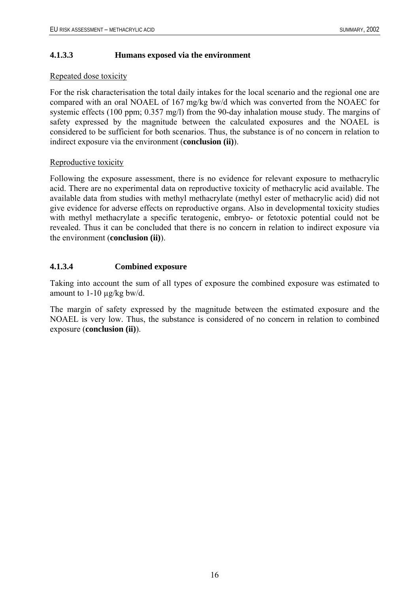#### <span id="page-21-0"></span>**4.1.3.3 Humans exposed via the environment**

#### Repeated dose toxicity

For the risk characterisation the total daily intakes for the local scenario and the regional one are compared with an oral NOAEL of 167 mg/kg bw/d which was converted from the NOAEC for systemic effects (100 ppm; 0.357 mg/l) from the 90-day inhalation mouse study. The margins of safety expressed by the magnitude between the calculated exposures and the NOAEL is considered to be sufficient for both scenarios. Thus, the substance is of no concern in relation to indirect exposure via the environment (**conclusion (ii)**).

#### Reproductive toxicity

Following the exposure assessment, there is no evidence for relevant exposure to methacrylic acid. There are no experimental data on reproductive toxicity of methacrylic acid available. The available data from studies with methyl methacrylate (methyl ester of methacrylic acid) did not give evidence for adverse effects on reproductive organs. Also in developmental toxicity studies with methyl methacrylate a specific teratogenic, embryo- or fetotoxic potential could not be revealed. Thus it can be concluded that there is no concern in relation to indirect exposure via the environment (**conclusion (ii)**).

#### **4.1.3.4 Combined exposure**

Taking into account the sum of all types of exposure the combined exposure was estimated to amount to 1-10 µg/kg bw/d.

The margin of safety expressed by the magnitude between the estimated exposure and the NOAEL is very low. Thus, the substance is considered of no concern in relation to combined exposure (**conclusion (ii)**).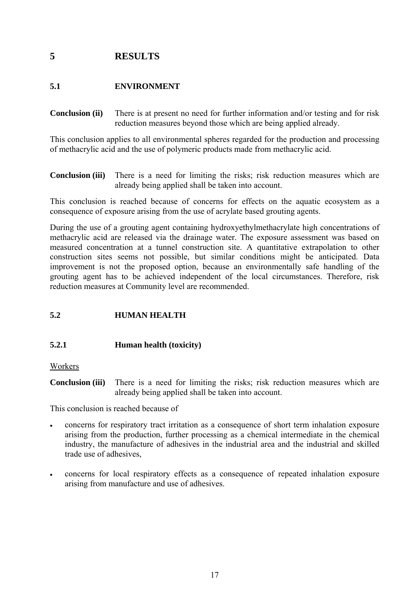# <span id="page-22-0"></span>**5 RESULTS**

## **5.1 ENVIRONMENT**

**Conclusion (ii)** There is at present no need for further information and/or testing and for risk reduction measures beyond those which are being applied already.

This conclusion applies to all environmental spheres regarded for the production and processing of methacrylic acid and the use of polymeric products made from methacrylic acid.

**Conclusion (iii)** There is a need for limiting the risks; risk reduction measures which are already being applied shall be taken into account.

This conclusion is reached because of concerns for effects on the aquatic ecosystem as a consequence of exposure arising from the use of acrylate based grouting agents.

During the use of a grouting agent containing hydroxyethylmethacrylate high concentrations of methacrylic acid are released via the drainage water. The exposure assessment was based on measured concentration at a tunnel construction site. A quantitative extrapolation to other construction sites seems not possible, but similar conditions might be anticipated. Data improvement is not the proposed option, because an environmentally safe handling of the grouting agent has to be achieved independent of the local circumstances. Therefore, risk reduction measures at Community level are recommended.

#### **5.2 HUMAN HEALTH**

#### **5.2.1 Human health (toxicity)**

Workers

**Conclusion (iii)** There is a need for limiting the risks; risk reduction measures which are already being applied shall be taken into account.

This conclusion is reached because of

- concerns for respiratory tract irritation as a consequence of short term inhalation exposure arising from the production, further processing as a chemical intermediate in the chemical industry, the manufacture of adhesives in the industrial area and the industrial and skilled trade use of adhesives,
- concerns for local respiratory effects as a consequence of repeated inhalation exposure arising from manufacture and use of adhesives.